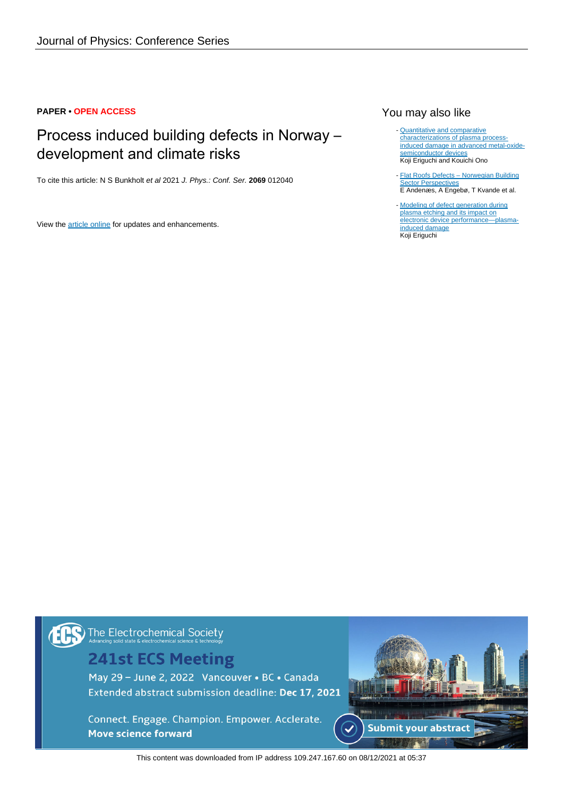## **PAPER • OPEN ACCESS**

# Process induced building defects in Norway – development and climate risks

To cite this article: N S Bunkholt et al 2021 J. Phys.: Conf. Ser. **2069** 012040

View the [article online](https://doi.org/10.1088/1742-6596/2069/1/012040) for updates and enhancements.

# You may also like

- **[Quantitative and comparative](https://iopscience.iop.org/article/10.1088/0022-3727/41/2/024002)** [characterizations of plasma process](https://iopscience.iop.org/article/10.1088/0022-3727/41/2/024002)[induced damage in advanced metal-oxide](https://iopscience.iop.org/article/10.1088/0022-3727/41/2/024002)[semiconductor devices](https://iopscience.iop.org/article/10.1088/0022-3727/41/2/024002) Koji Eriguchi and Kouichi Ono
- [Flat Roofs Defects Norwegian Building](https://iopscience.iop.org/article/10.1088/1755-1315/290/1/012069) **[Sector Perspectives](https://iopscience.iop.org/article/10.1088/1755-1315/290/1/012069)** E Andenæs, A Engebø, T Kvande et al. -
- [Modeling of defect generation during](https://iopscience.iop.org/article/10.1088/1361-6463/aa7523) [plasma etching and its impact on](https://iopscience.iop.org/article/10.1088/1361-6463/aa7523) [electronic device performance—plasma](https://iopscience.iop.org/article/10.1088/1361-6463/aa7523)[induced damage](https://iopscience.iop.org/article/10.1088/1361-6463/aa7523) Koji Eriguchi

The Electrochemical Society

# **241st ECS Meeting**

May 29 - June 2, 2022 Vancouver • BC • Canada Extended abstract submission deadline: Dec 17, 2021

Connect. Engage. Champion. Empower. Acclerate. **Move science forward** 



This content was downloaded from IP address 109.247.167.60 on 08/12/2021 at 05:37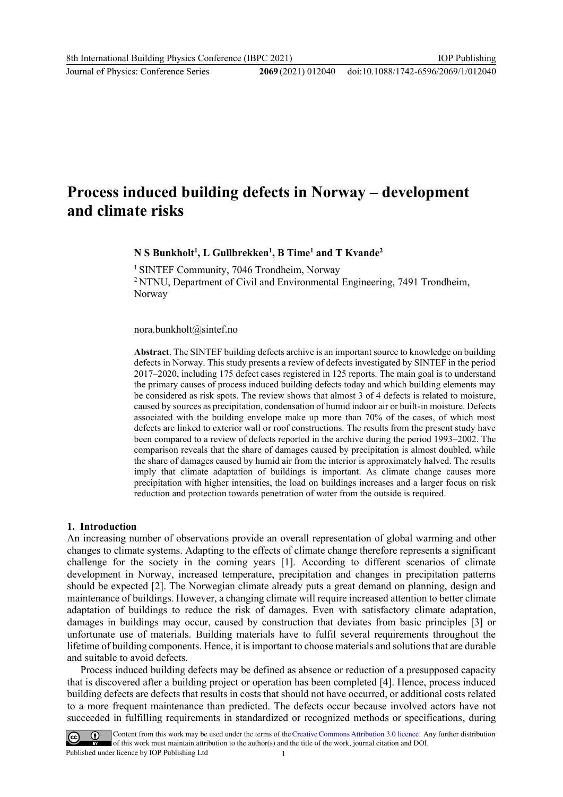Journal of Physics: Conference Series **2069** (2021) 012040

# **Process induced building defects in Norway – development and climate risks**

**N S Bunkholt<sup>1</sup> , L Gullbrekken<sup>1</sup> , B Time<sup>1</sup> and T Kvande<sup>2</sup>**

<sup>1</sup> SINTEF Community, 7046 Trondheim, Norway <sup>2</sup> NTNU, Department of Civil and Environmental Engineering, 7491 Trondheim, Norway

#### nora.bunkholt@sintef.no

**Abstract**. The SINTEF building defects archive is an important source to knowledge on building defects in Norway. This study presents a review of defects investigated by SINTEF in the period 2017–2020, including 175 defect cases registered in 125 reports. The main goal is to understand the primary causes of process induced building defects today and which building elements may be considered as risk spots. The review shows that almost 3 of 4 defects is related to moisture, caused by sources as precipitation, condensation of humid indoor air or built-in moisture. Defects associated with the building envelope make up more than 70% of the cases, of which most defects are linked to exterior wall or roof constructions. The results from the present study have been compared to a review of defects reported in the archive during the period 1993–2002. The comparison reveals that the share of damages caused by precipitation is almost doubled, while the share of damages caused by humid air from the interior is approximately halved. The results imply that climate adaptation of buildings is important. As climate change causes more precipitation with higher intensities, the load on buildings increases and a larger focus on risk reduction and protection towards penetration of water from the outside is required.

#### **1. Introduction**

An increasing number of observations provide an overall representation of global warming and other changes to climate systems. Adapting to the effects of climate change therefore represents a significant challenge for the society in the coming years [1]. According to different scenarios of climate development in Norway, increased temperature, precipitation and changes in precipitation patterns should be expected [2]. The Norwegian climate already puts a great demand on planning, design and maintenance of buildings. However, a changing climate will require increased attention to better climate adaptation of buildings to reduce the risk of damages. Even with satisfactory climate adaptation, damages in buildings may occur, caused by construction that deviates from basic principles [3] or unfortunate use of materials. Building materials have to fulfil several requirements throughout the lifetime of building components. Hence, it is important to choose materials and solutions that are durable and suitable to avoid defects.

Process induced building defects may be defined as absence or reduction of a presupposed capacity that is discovered after a building project or operation has been completed [4]. Hence, process induced building defects are defects that results in costs that should not have occurred, or additional costs related to a more frequent maintenance than predicted. The defects occur because involved actors have not succeeded in fulfilling requirements in standardized or recognized methods or specifications, during

Content from this work may be used under the terms of the Creative Commons Attribution 3.0 licence. Any further distribution of this work must maintain attribution to the author(s) and the title of the work, journal citation and DOI. Published under licence by IOP Publishing Ltd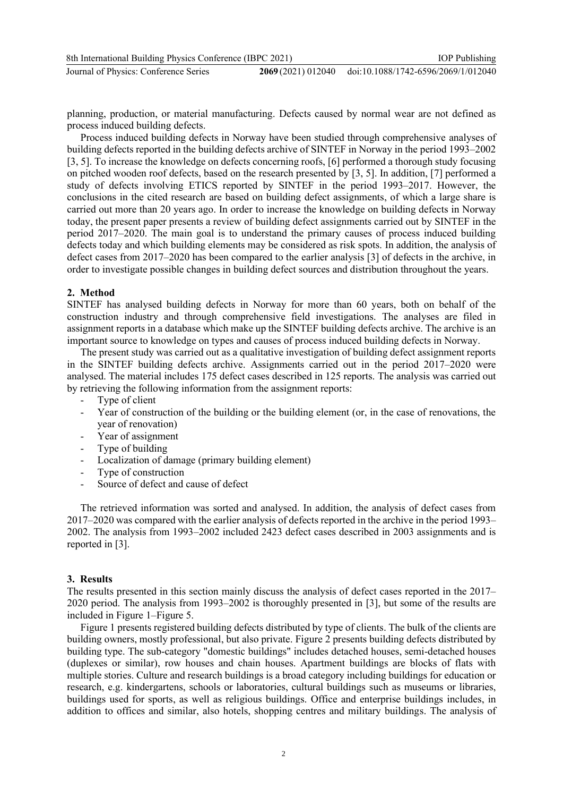| 8th International Building Physics Conference (IBPC 2021) | <b>IOP</b> Publishing                                  |
|-----------------------------------------------------------|--------------------------------------------------------|
| Journal of Physics: Conference Series                     | 2069 (2021) 012040 doi:10.1088/1742-6596/2069/1/012040 |

planning, production, or material manufacturing. Defects caused by normal wear are not defined as process induced building defects.

Process induced building defects in Norway have been studied through comprehensive analyses of building defects reported in the building defects archive of SINTEF in Norway in the period 1993–2002 [3, 5]. To increase the knowledge on defects concerning roofs, [6] performed a thorough study focusing on pitched wooden roof defects, based on the research presented by [3, 5]. In addition, [7] performed a study of defects involving ETICS reported by SINTEF in the period 1993–2017. However, the conclusions in the cited research are based on building defect assignments, of which a large share is carried out more than 20 years ago. In order to increase the knowledge on building defects in Norway today, the present paper presents a review of building defect assignments carried out by SINTEF in the period 2017–2020. The main goal is to understand the primary causes of process induced building defects today and which building elements may be considered as risk spots. In addition, the analysis of defect cases from 2017–2020 has been compared to the earlier analysis [3] of defects in the archive, in order to investigate possible changes in building defect sources and distribution throughout the years.

### **2. Method**

SINTEF has analysed building defects in Norway for more than 60 years, both on behalf of the construction industry and through comprehensive field investigations. The analyses are filed in assignment reports in a database which make up the SINTEF building defects archive. The archive is an important source to knowledge on types and causes of process induced building defects in Norway.

The present study was carried out as a qualitative investigation of building defect assignment reports in the SINTEF building defects archive. Assignments carried out in the period 2017–2020 were analysed. The material includes 175 defect cases described in 125 reports. The analysis was carried out by retrieving the following information from the assignment reports:

- Type of client
- Year of construction of the building or the building element (or, in the case of renovations, the year of renovation)
- Year of assignment
- Type of building
- Localization of damage (primary building element)
- Type of construction
- Source of defect and cause of defect

The retrieved information was sorted and analysed. In addition, the analysis of defect cases from 2017–2020 was compared with the earlier analysis of defects reported in the archive in the period 1993– 2002. The analysis from 1993–2002 included 2423 defect cases described in 2003 assignments and is reported in [3].

#### **3. Results**

The results presented in this section mainly discuss the analysis of defect cases reported in the 2017– 2020 period. The analysis from 1993–2002 is thoroughly presented in [3], but some of the results are included in [Figure 1](#page-3-0)–[Figure](#page-5-0) 5.

[Figure 1](#page-3-0) presents registered building defects distributed by type of clients. The bulk of the clients are building owners, mostly professional, but also private. [Figure 2](#page-4-0) presents building defects distributed by building type. The sub-category "domestic buildings" includes detached houses, semi-detached houses (duplexes or similar), row houses and chain houses. Apartment buildings are blocks of flats with multiple stories. Culture and research buildings is a broad category including buildings for education or research, e.g. kindergartens, schools or laboratories, cultural buildings such as museums or libraries, buildings used for sports, as well as religious buildings. Office and enterprise buildings includes, in addition to offices and similar, also hotels, shopping centres and military buildings. The analysis of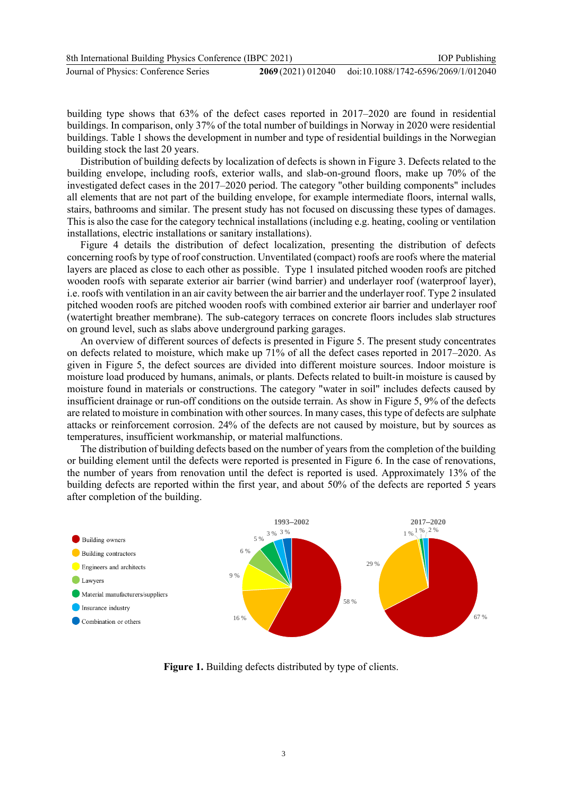building type shows that 63% of the defect cases reported in 2017–2020 are found in residential buildings. In comparison, only 37% of the total number of buildings in Norway in 2020 were residential buildings. [Table 1](#page-4-1) shows the development in number and type of residential buildings in the Norwegian building stock the last 20 years.

Distribution of building defects by localization of defects is shown in [Figure 3.](#page-4-2) Defects related to the building envelope, including roofs, exterior walls, and slab-on-ground floors, make up 70% of the investigated defect cases in the 2017–2020 period. The category "other building components" includes all elements that are not part of the building envelope, for example intermediate floors, internal walls, stairs, bathrooms and similar. The present study has not focused on discussing these types of damages. This is also the case for the category technical installations (including e.g. heating, cooling or ventilation installations, electric installations or sanitary installations).

[Figure 4](#page-5-1) details the distribution of defect localization, presenting the distribution of defects concerning roofs by type of roof construction. Unventilated (compact) roofs are roofs where the material layers are placed as close to each other as possible. Type 1 insulated pitched wooden roofs are pitched wooden roofs with separate exterior air barrier (wind barrier) and underlayer roof (waterproof layer), i.e. roofs with ventilation in an air cavity between the air barrier and the underlayer roof. Type 2 insulated pitched wooden roofs are pitched wooden roofs with combined exterior air barrier and underlayer roof (watertight breather membrane). The sub-category terraces on concrete floors includes slab structures on ground level, such as slabs above underground parking garages.

An overview of different sources of defects is presented in [Figure 5.](#page-5-0) The present study concentrates on defects related to moisture, which make up 71% of all the defect cases reported in 2017–2020. As given in [Figure 5,](#page-5-0) the defect sources are divided into different moisture sources. Indoor moisture is moisture load produced by humans, animals, or plants. Defects related to built-in moisture is caused by moisture found in materials or constructions. The category "water in soil" includes defects caused by insufficient drainage or run-off conditions on the outside terrain. As show in [Figure 5,](#page-5-0) 9% of the defects are related to moisture in combination with other sources. In many cases, this type of defects are sulphate attacks or reinforcement corrosion. 24% of the defects are not caused by moisture, but by sources as temperatures, insufficient workmanship, or material malfunctions.

The distribution of building defects based on the number of years from the completion of the building or building element until the defects were reported is presented in [Figure 6.](#page-5-2) In the case of renovations, the number of years from renovation until the defect is reported is used. Approximately 13% of the building defects are reported within the first year, and about 50% of the defects are reported 5 years after completion of the building.



<span id="page-3-0"></span>**Figure 1.** Building defects distributed by type of clients.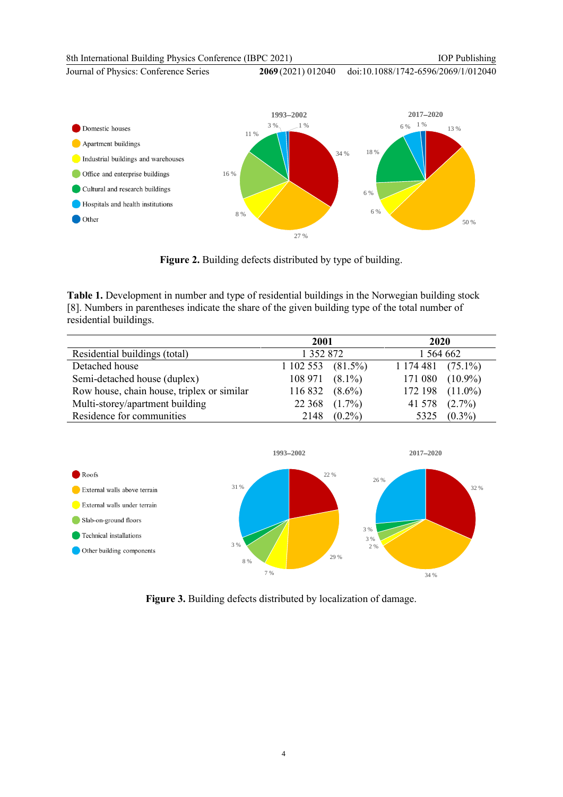8th International Building Physics Conference (IBPC 2021) Journal of Physics: Conference Series **2069** (2021) 012040 IOP Publishing doi:10.1088/1742-6596/2069/1/012040 3 % 1 % **1993**−**2002**  $6\%$  1% **2017**−**2020**



**Figure 2.** Building defects distributed by type of building.

<span id="page-4-1"></span><span id="page-4-0"></span>**Table 1.** Development in number and type of residential buildings in the Norwegian building stock [8]. Numbers in parentheses indicate the share of the given building type of the total number of residential buildings.

|                                            | 2001              |            | 2020                    |           |
|--------------------------------------------|-------------------|------------|-------------------------|-----------|
| Residential buildings (total)              | 1 352 872         |            | l 564 662               |           |
| Detached house                             | 1 102 553         | $(81.5\%)$ | 1174481(75.1%)          |           |
| Semi-detached house (duplex)               | $108\,971(8.1\%)$ |            | $171\,080\quad(10.9\%)$ |           |
| Row house, chain house, triplex or similar | 116 832           | $(8.6\%)$  | 172 198 $(11.0\%)$      |           |
| Multi-storey/apartment building            | 22 3 6 8          | $(1.7\%)$  | 41 578                  | $(2.7\%)$ |
| Residence for communities                  | 2148              | $(0.2\%)$  | 5325                    | $(0.3\%)$ |



<span id="page-4-2"></span>**Figure 3.** Building defects distributed by localization of damage.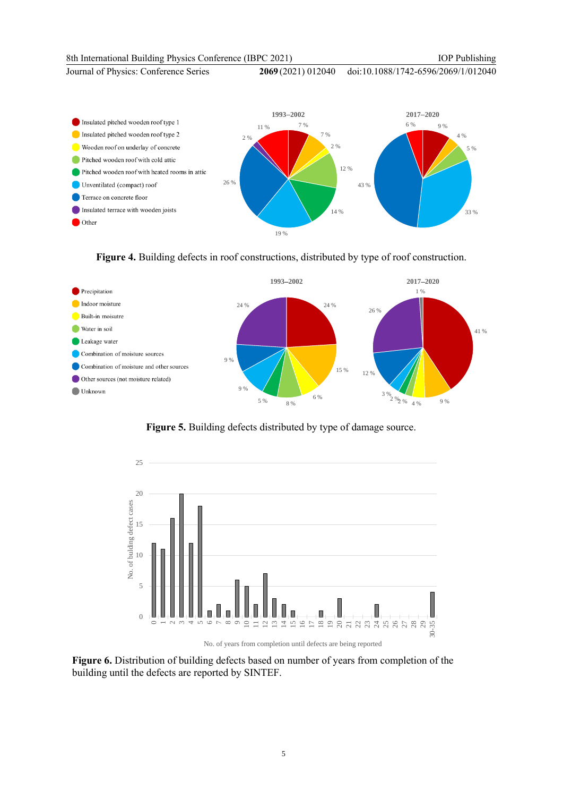#### 8th International Building Physics Conference (IBPC 2021)

IOP Publishing

Journal of Physics: Conference Series **2069** (2021) 012040

doi:10.1088/1742-6596/2069/1/012040



# **Figure 4.** Building defects in roof constructions, distributed by type of roof construction.

<span id="page-5-1"></span>

**Figure 5.** Building defects distributed by type of damage source.

<span id="page-5-0"></span>

No. of years from completion until defects are being reported

<span id="page-5-2"></span>Figure 6. Distribution of building defects based on number of years from completion of the building until the defects are reported by SINTEF.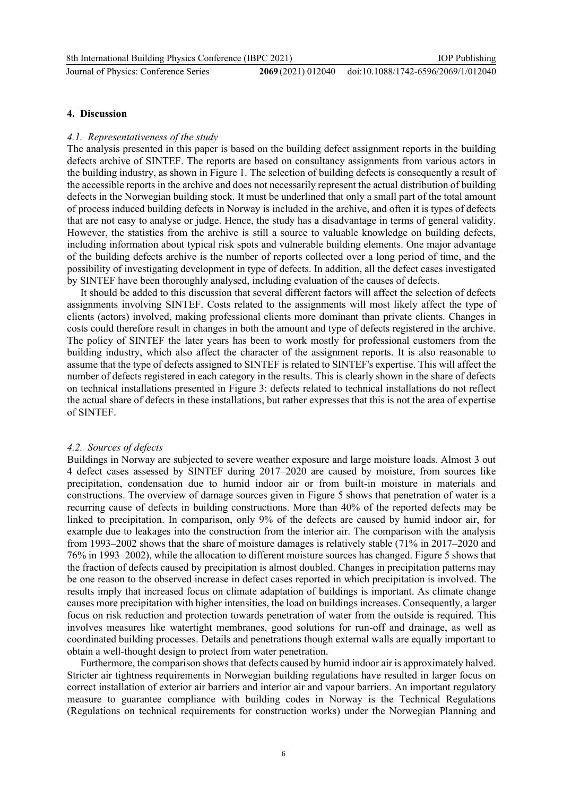Journal of Physics: Conference Series **2069** (2021) 012040

#### **4. Discussion**

#### *4.1. Representativeness of the study*

The analysis presented in this paper is based on the building defect assignment reports in the building defects archive of SINTEF. The reports are based on consultancy assignments from various actors in the building industry, as shown in [Figure 1.](#page-3-0) The selection of building defects is consequently a result of the accessible reports in the archive and does not necessarily represent the actual distribution of building defects in the Norwegian building stock. It must be underlined that only a small part of the total amount of process induced building defects in Norway is included in the archive, and often it is types of defects that are not easy to analyse or judge. Hence, the study has a disadvantage in terms of general validity. However, the statistics from the archive is still a source to valuable knowledge on building defects, including information about typical risk spots and vulnerable building elements. One major advantage of the building defects archive is the number of reports collected over a long period of time, and the possibility of investigating development in type of defects. In addition, all the defect cases investigated by SINTEF have been thoroughly analysed, including evaluation of the causes of defects.

It should be added to this discussion that several different factors will affect the selection of defects assignments involving SINTEF. Costs related to the assignments will most likely affect the type of clients (actors) involved, making professional clients more dominant than private clients. Changes in costs could therefore result in changes in both the amount and type of defects registered in the archive. The policy of SINTEF the later years has been to work mostly for professional customers from the building industry, which also affect the character of the assignment reports. It is also reasonable to assume that the type of defects assigned to SINTEF is related to SINTEF's expertise. This will affect the number of defects registered in each category in the results. This is clearly shown in the share of defects on technical installations presented in [Figure 3:](#page-4-2) defects related to technical installations do not reflect the actual share of defects in these installations, but rather expresses that this is not the area of expertise of SINTEF.

#### *4.2. Sources of defects*

Buildings in Norway are subjected to severe weather exposure and large moisture loads. Almost 3 out 4 defect cases assessed by SINTEF during 2017–2020 are caused by moisture, from sources like precipitation, condensation due to humid indoor air or from built-in moisture in materials and constructions. The overview of damage sources given in [Figure 5](#page-5-0) shows that penetration of water is a recurring cause of defects in building constructions. More than 40% of the reported defects may be linked to precipitation. In comparison, only 9% of the defects are caused by humid indoor air, for example due to leakages into the construction from the interior air. The comparison with the analysis from 1993–2002 shows that the share of moisture damages is relatively stable (71% in 2017–2020 and 76% in 1993–2002), while the allocation to different moisture sources has changed[. Figure 5](#page-5-0) shows that the fraction of defects caused by precipitation is almost doubled. Changes in precipitation patterns may be one reason to the observed increase in defect cases reported in which precipitation is involved. The results imply that increased focus on climate adaptation of buildings is important. As climate change causes more precipitation with higher intensities, the load on buildings increases. Consequently, a larger focus on risk reduction and protection towards penetration of water from the outside is required. This involves measures like watertight membranes, good solutions for run-off and drainage, as well as coordinated building processes. Details and penetrations though external walls are equally important to obtain a well-thought design to protect from water penetration.

Furthermore, the comparison shows that defects caused by humid indoor air is approximately halved. Stricter air tightness requirements in Norwegian building regulations have resulted in larger focus on correct installation of exterior air barriers and interior air and vapour barriers. An important regulatory measure to guarantee compliance with building codes in Norway is the Technical Regulations (Regulations on technical requirements for construction works) under the Norwegian Planning and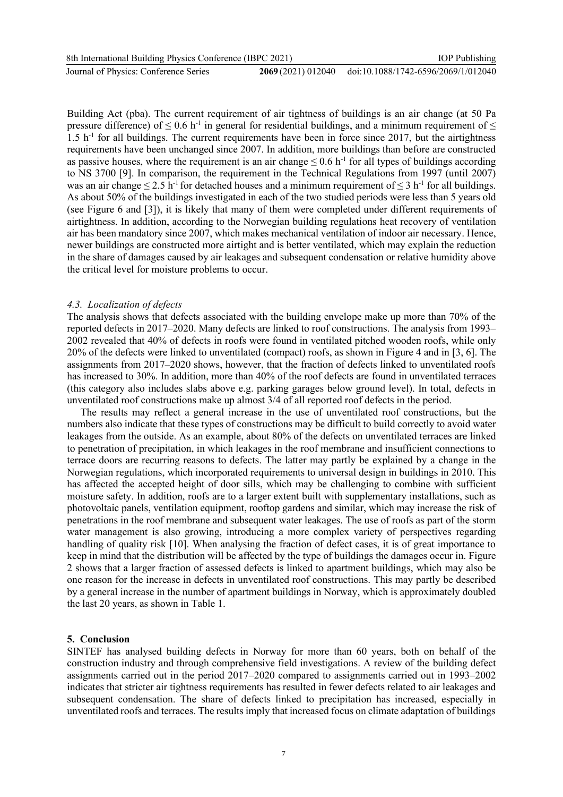8th International Building Physics Conference (IBPC 2021)

Journal of Physics: Conference Series **2069** (2021) 012040

Building Act (pba). The current requirement of air tightness of buildings is an air change (at 50 Pa pressure difference) of  $\leq 0.6$  h<sup>-1</sup> in general for residential buildings, and a minimum requirement of  $\leq$ 1.5 h-1 for all buildings. The current requirements have been in force since 2017, but the airtightness requirements have been unchanged since 2007. In addition, more buildings than before are constructed as passive houses, where the requirement is an air change  $\leq 0.6$  h<sup>-1</sup> for all types of buildings according to NS 3700 [9]. In comparison, the requirement in the Technical Regulations from 1997 (until 2007) was an air change  $\leq 2.5$  h<sup>-1</sup> for detached houses and a minimum requirement of  $\leq 3$  h<sup>-1</sup> for all buildings. As about 50% of the buildings investigated in each of the two studied periods were less than 5 years old (see [Figure 6](#page-5-2) and [3]), it is likely that many of them were completed under different requirements of airtightness. In addition, according to the Norwegian building regulations heat recovery of ventilation air has been mandatory since 2007, which makes mechanical ventilation of indoor air necessary. Hence, newer buildings are constructed more airtight and is better ventilated, which may explain the reduction in the share of damages caused by air leakages and subsequent condensation or relative humidity above the critical level for moisture problems to occur.

#### *4.3. Localization of defects*

The analysis shows that defects associated with the building envelope make up more than 70% of the reported defects in 2017–2020. Many defects are linked to roof constructions. The analysis from 1993– 2002 revealed that 40% of defects in roofs were found in ventilated pitched wooden roofs, while only 20% of the defects were linked to unventilated (compact) roofs, as shown in [Figure 4](#page-5-1) and in [3, 6]. The assignments from 2017–2020 shows, however, that the fraction of defects linked to unventilated roofs has increased to 30%. In addition, more than 40% of the roof defects are found in unventilated terraces (this category also includes slabs above e.g. parking garages below ground level). In total, defects in unventilated roof constructions make up almost 3/4 of all reported roof defects in the period.

The results may reflect a general increase in the use of unventilated roof constructions, but the numbers also indicate that these types of constructions may be difficult to build correctly to avoid water leakages from the outside. As an example, about 80% of the defects on unventilated terraces are linked to penetration of precipitation, in which leakages in the roof membrane and insufficient connections to terrace doors are recurring reasons to defects. The latter may partly be explained by a change in the Norwegian regulations, which incorporated requirements to universal design in buildings in 2010. This has affected the accepted height of door sills, which may be challenging to combine with sufficient moisture safety. In addition, roofs are to a larger extent built with supplementary installations, such as photovoltaic panels, ventilation equipment, rooftop gardens and similar, which may increase the risk of penetrations in the roof membrane and subsequent water leakages. The use of roofs as part of the storm water management is also growing, introducing a more complex variety of perspectives regarding handling of quality risk [10]. When analysing the fraction of defect cases, it is of great importance to keep in mind that the distribution will be affected by the type of buildings the damages occur in[. Figure](#page-4-0)  [2](#page-4-0) shows that a larger fraction of assessed defects is linked to apartment buildings, which may also be one reason for the increase in defects in unventilated roof constructions. This may partly be described by a general increase in the number of apartment buildings in Norway, which is approximately doubled the last 20 years, as shown in [Table 1.](#page-4-1)

## **5. Conclusion**

SINTEF has analysed building defects in Norway for more than 60 years, both on behalf of the construction industry and through comprehensive field investigations. A review of the building defect assignments carried out in the period 2017–2020 compared to assignments carried out in 1993–2002 indicates that stricter air tightness requirements has resulted in fewer defects related to air leakages and subsequent condensation. The share of defects linked to precipitation has increased, especially in unventilated roofs and terraces. The results imply that increased focus on climate adaptation of buildings